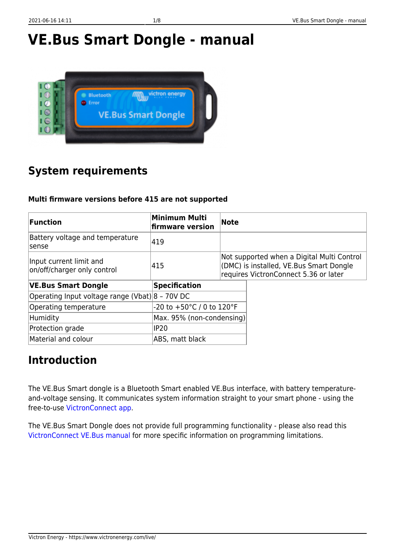# **VE.Bus Smart Dongle - manual**



## **System requirements**

### **Multi firmware versions before 415 are not supported**

| Function                                               | <b>Minimum Multi</b><br><b>firmware version</b> | Note |                                                                                                                                |
|--------------------------------------------------------|-------------------------------------------------|------|--------------------------------------------------------------------------------------------------------------------------------|
| Battery voltage and temperature<br>lsense.             | 419                                             |      |                                                                                                                                |
| Input current limit and<br>on/off/charger only control | 415                                             |      | Not supported when a Digital Multi Control<br>(DMC) is installed, VE.Bus Smart Dongle<br>requires VictronConnect 5.36 or later |
| <b>VE.Bus Smart Dongle</b>                             | <b>Specification</b>                            |      |                                                                                                                                |
| Operating Input voltage range (Vbat) 8 - 70V DC        |                                                 |      |                                                                                                                                |
| Operating temperature                                  | -20 to +50°C / 0 to 120°F                       |      |                                                                                                                                |
| Humidity                                               | Max. 95% (non-condensing)                       |      |                                                                                                                                |
| Protection grade                                       | <b>IP20</b>                                     |      |                                                                                                                                |
| Material and colour                                    | ABS, matt black                                 |      |                                                                                                                                |

### **Introduction**

The VE.Bus Smart dongle is a Bluetooth Smart enabled VE.Bus interface, with battery temperatureand-voltage sensing. It communicates system information straight to your smart phone - using the free-to-use [VictronConnect app.](https://www.victronenergy.com/support-and-downloads/software#victronconnect-app)

The VE.Bus Smart Dongle does not provide full programming functionality - please also read this [VictronConnect VE.Bus manual](https://docs.victronenergy.com/victronconnect-vebus.html#ve-bus-smart-dongle-limitations) for more specific information on programming limitations.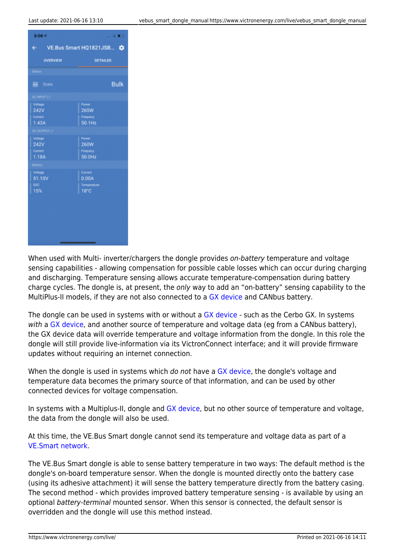

When used with Multi- inverter/chargers the dongle provides on-battery temperature and voltage sensing capabilities - allowing compensation for possible cable losses which can occur during charging and discharging. Temperature sensing allows accurate temperature-compensation during battery charge cycles. The dongle is, at present, the only way to add an "on-battery" sensing capability to the MultiPlus-II models, if they are not also connected to a [GX device](https://www.victronenergy.com/live/venus-os:start) and CANbus battery.

The dongle can be used in systems with or without a [GX device](https://www.victronenergy.com/live/venus-os:start) - such as the Cerbo GX. In systems with a [GX device,](https://www.victronenergy.com/live/venus-os:start) and another source of temperature and voltage data (eg from a CANbus battery), the GX device data will override temperature and voltage information from the dongle. In this role the dongle will still provide live-information via its VictronConnect interface; and it will provide firmware updates without requiring an internet connection.

When the dongle is used in systems which do not have a [GX device](https://www.victronenergy.com/live/venus-os:start), the dongle's voltage and temperature data becomes the primary source of that information, and can be used by other connected devices for voltage compensation.

In systems with a Multiplus-II, dongle and [GX device](https://www.victronenergy.com/live/venus-os:start), but no other source of temperature and voltage, the data from the dongle will also be used.

At this time, the VE.Bus Smart dongle cannot send its temperature and voltage data as part of a [VE.Smart network.](https://www.victronenergy.com/live/victronconnect:ve-smart-networking)

The VE.Bus Smart dongle is able to sense battery temperature in two ways: The default method is the dongle's on-board temperature sensor. When the dongle is mounted directly onto the battery case (using its adhesive attachment) it will sense the battery temperature directly from the battery casing. The second method - which provides improved battery temperature sensing - is available by using an optional battery-terminal mounted sensor. When this sensor is connected, the default sensor is overridden and the dongle will use this method instead.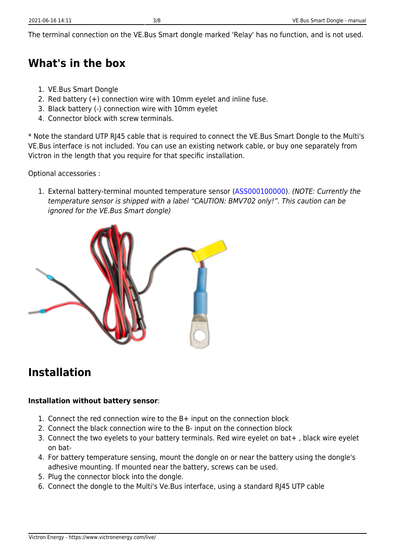The terminal connection on the VE.Bus Smart dongle marked 'Relay' has no function, and is not used.

### **What's in the box**

- 1. VE.Bus Smart Dongle
- 2. Red battery (+) connection wire with 10mm eyelet and inline fuse.
- 3. Black battery (-) connection wire with 10mm eyelet
- 4. Connector block with screw terminals.

\* Note the standard UTP RJ45 cable that is required to connect the VE.Bus Smart Dongle to the Multi's VE.Bus interface is not included. You can use an existing network cable, or buy one separately from Victron in the length that you require for that specific installation.

Optional accessories :

1. External battery-terminal mounted temperature sensor [\(ASS000100000](https://www.victronenergy.com/accessories/temperature-sensor-for-bmv-702)). (NOTE: Currently the temperature sensor is shipped with a label "CAUTION: BMV702 only!". This caution can be ignored for the VE.Bus Smart dongle)



### **Installation**

#### **Installation without battery sensor**:

- 1. Connect the red connection wire to the B+ input on the connection block
- 2. Connect the black connection wire to the B- input on the connection block
- 3. Connect the two eyelets to your battery terminals. Red wire eyelet on bat+ , black wire eyelet on bat-
- 4. For battery temperature sensing, mount the dongle on or near the battery using the dongle's adhesive mounting. If mounted near the battery, screws can be used.
- 5. Plug the connector block into the dongle.
- 6. Connect the dongle to the Multi's Ve.Bus interface, using a standard RJ45 UTP cable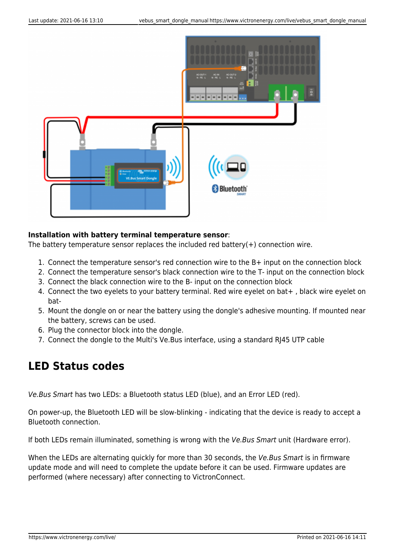

#### **Installation with battery terminal temperature sensor**:

The battery temperature sensor replaces the included red battery( $+$ ) connection wire.

- 1. Connect the temperature sensor's red connection wire to the B+ input on the connection block
- 2. Connect the temperature sensor's black connection wire to the T- input on the connection block
- 3. Connect the black connection wire to the B- input on the connection block
- 4. Connect the two eyelets to your battery terminal. Red wire eyelet on bat+ , black wire eyelet on bat-
- 5. Mount the dongle on or near the battery using the dongle's adhesive mounting. If mounted near the battery, screws can be used.
- 6. Plug the connector block into the dongle.
- 7. Connect the dongle to the Multi's Ve.Bus interface, using a standard RJ45 UTP cable

### **LED Status codes**

Ve.Bus Smart has two LEDs: a Bluetooth status LED (blue), and an Error LED (red).

On power-up, the Bluetooth LED will be slow-blinking - indicating that the device is ready to accept a Bluetooth connection.

If both LEDs remain illuminated, something is wrong with the Ve.Bus Smart unit (Hardware error).

When the LEDs are alternating quickly for more than 30 seconds, the Ve. Bus Smart is in firmware update mode and will need to complete the update before it can be used. Firmware updates are performed (where necessary) after connecting to VictronConnect.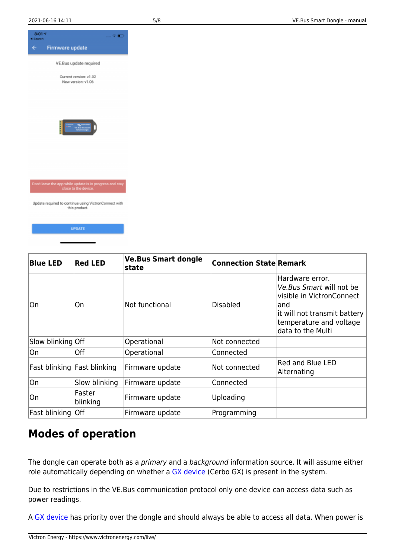





### **Modes of operation**

The dongle can operate both as a *primary* and a background information source. It will assume either role automatically depending on whether a [GX device](https://www.victronenergy.com/live/venus-os:start) (Cerbo GX) is present in the system.

Due to restrictions in the VE.Bus communication protocol only one device can access data such as power readings.

A [GX device](https://www.victronenergy.com/live/venus-os:start) has priority over the dongle and should always be able to access all data. When power is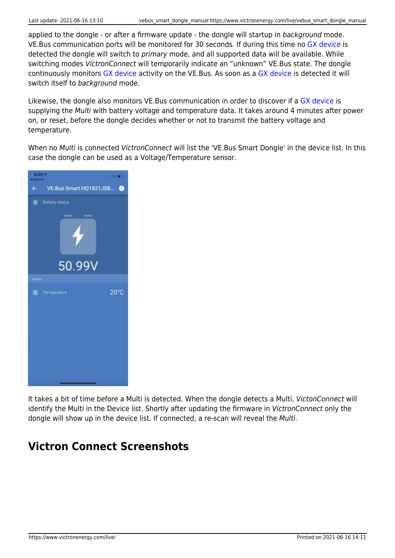applied to the dongle - or after a firmware update - the dongle will startup in background mode. VE.Bus communication ports will be monitored for 30 seconds. If during this time no [GX device](https://www.victronenergy.com/live/venus-os:start) is detected the dongle will switch to primary mode, and all supported data will be available. While switching modes VictronConnect will temporarily indicate an "unknown" VE.Bus state. The dongle continuously monitors [GX device](https://www.victronenergy.com/live/venus-os:start) activity on the VE.Bus. As soon as a [GX device](https://www.victronenergy.com/live/venus-os:start) is detected it will switch itself to background mode.

Likewise, the dongle also monitors VE.Bus communication in order to discover if a [GX device](https://www.victronenergy.com/live/venus-os:start) is supplying the Multi with battery voltage and temperature data. It takes around 4 minutes after power on, or reset, before the dongle decides whether or not to transmit the battery voltage and temperature.

When no Multi is connected VictronConnect will list the 'VE.Bus Smart Dongle' in the device list. In this case the dongle can be used as a Voltage/Temperature sensor.



It takes a bit of time before a Multi is detected. When the dongle detects a Multi, VictonConnect will identify the Multi in the Device list. Shortly after updating the firmware in VictronConnect only the dongle will show up in the device list. If connected, a re-scan will reveal the Multi.

### **Victron Connect Screenshots**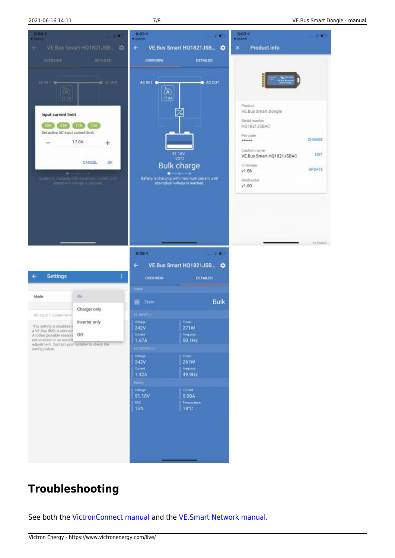



### **Troubleshooting**

See both the [VictronConnect manual](https://www.victronenergy.com/live/victronconnect:start) and the [VE.Smart Network manual.](https://www.victronenergy.com/live/victronconnect:ve-smart-networking)